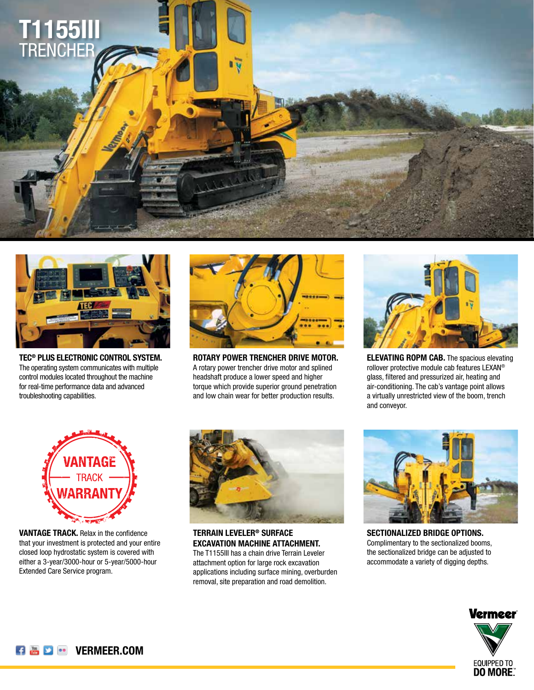



**TEC® PLUS ELECTRONIC CONTROL SYSTEM.** The operating system communicates with multiple control modules located throughout the machine for real-time performance data and advanced troubleshooting capabilities.



**ROTARY POWER TRENCHER DRIVE MOTOR.** A rotary power trencher drive motor and splined headshaft produce a lower speed and higher torque which provide superior ground penetration and low chain wear for better production results.



**ELEVATING ROPM CAB.** The spacious elevating rollover protective module cab features LEXAN® glass, filtered and pressurized air, heating and air-conditioning. The cab's vantage point allows a virtually unrestricted view of the boom, trench and conveyor.



**VANTAGE TRACK.** Relax in the confidence that your investment is protected and your entire closed loop hydrostatic system is covered with either a 3-year/3000-hour or 5-year/5000-hour Extended Care Service program.



**TERRAIN LEVELER® SURFACE EXCAVATION MACHINE ATTACHMENT.** The T1155III has a chain drive Terrain Leveler attachment option for large rock excavation applications including surface mining, overburden removal, site preparation and road demolition.



**SECTIONALIZED BRIDGE OPTIONS.** Complimentary to the sectionalized booms, the sectionalized bridge can be adjusted to accommodate a variety of digging depths.